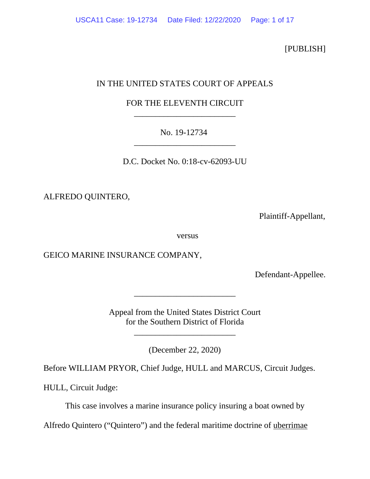[PUBLISH]

# IN THE UNITED STATES COURT OF APPEALS

# FOR THE ELEVENTH CIRCUIT \_\_\_\_\_\_\_\_\_\_\_\_\_\_\_\_\_\_\_\_\_\_\_\_

# No. 19-12734 \_\_\_\_\_\_\_\_\_\_\_\_\_\_\_\_\_\_\_\_\_\_\_\_

D.C. Docket No. 0:18-cv-62093-UU

ALFREDO QUINTERO,

Plaintiff-Appellant,

versus

GEICO MARINE INSURANCE COMPANY,

Defendant-Appellee.

Appeal from the United States District Court for the Southern District of Florida

\_\_\_\_\_\_\_\_\_\_\_\_\_\_\_\_\_\_\_\_\_\_\_\_

\_\_\_\_\_\_\_\_\_\_\_\_\_\_\_\_\_\_\_\_\_\_\_\_

(December 22, 2020)

Before WILLIAM PRYOR, Chief Judge, HULL and MARCUS, Circuit Judges.

HULL, Circuit Judge:

This case involves a marine insurance policy insuring a boat owned by

Alfredo Quintero ("Quintero") and the federal maritime doctrine of uberrimae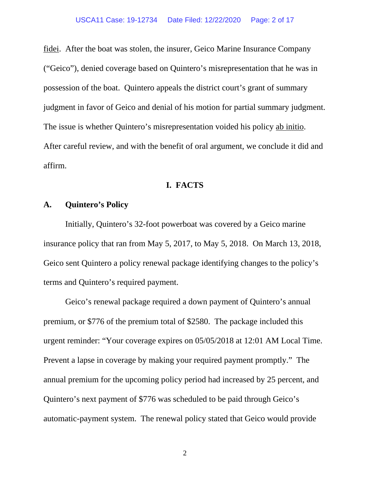fidei. After the boat was stolen, the insurer, Geico Marine Insurance Company ("Geico"), denied coverage based on Quintero's misrepresentation that he was in possession of the boat. Quintero appeals the district court's grant of summary judgment in favor of Geico and denial of his motion for partial summary judgment. The issue is whether Quintero's misrepresentation voided his policy ab initio. After careful review, and with the benefit of oral argument, we conclude it did and affirm.

### **I. FACTS**

## **A. Quintero's Policy**

Initially, Quintero's 32-foot powerboat was covered by a Geico marine insurance policy that ran from May 5, 2017, to May 5, 2018. On March 13, 2018, Geico sent Quintero a policy renewal package identifying changes to the policy's terms and Quintero's required payment.

Geico's renewal package required a down payment of Quintero's annual premium, or \$776 of the premium total of \$2580. The package included this urgent reminder: "Your coverage expires on 05/05/2018 at 12:01 AM Local Time. Prevent a lapse in coverage by making your required payment promptly." The annual premium for the upcoming policy period had increased by 25 percent, and Quintero's next payment of \$776 was scheduled to be paid through Geico's automatic-payment system. The renewal policy stated that Geico would provide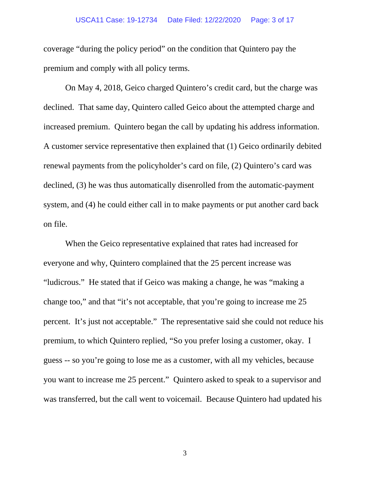### USCA11 Case: 19-12734 Date Filed: 12/22/2020 Page: 3 of 17

coverage "during the policy period" on the condition that Quintero pay the premium and comply with all policy terms.

On May 4, 2018, Geico charged Quintero's credit card, but the charge was declined. That same day, Quintero called Geico about the attempted charge and increased premium. Quintero began the call by updating his address information. A customer service representative then explained that (1) Geico ordinarily debited renewal payments from the policyholder's card on file, (2) Quintero's card was declined, (3) he was thus automatically disenrolled from the automatic-payment system, and (4) he could either call in to make payments or put another card back on file.

When the Geico representative explained that rates had increased for everyone and why, Quintero complained that the 25 percent increase was "ludicrous." He stated that if Geico was making a change, he was "making a change too," and that "it's not acceptable, that you're going to increase me 25 percent. It's just not acceptable." The representative said she could not reduce his premium, to which Quintero replied, "So you prefer losing a customer, okay. I guess -- so you're going to lose me as a customer, with all my vehicles, because you want to increase me 25 percent." Quintero asked to speak to a supervisor and was transferred, but the call went to voicemail. Because Quintero had updated his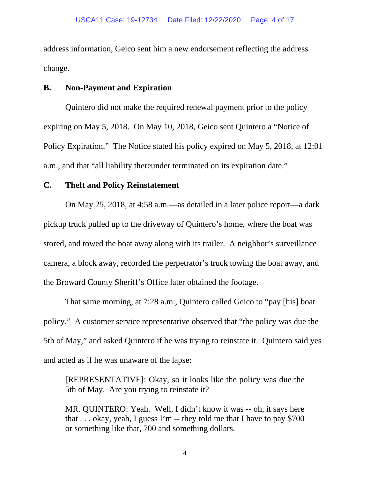address information, Geico sent him a new endorsement reflecting the address change.

## **B. Non-Payment and Expiration**

Quintero did not make the required renewal payment prior to the policy expiring on May 5, 2018. On May 10, 2018, Geico sent Quintero a "Notice of Policy Expiration." The Notice stated his policy expired on May 5, 2018, at 12:01 a.m., and that "all liability thereunder terminated on its expiration date."

## **C. Theft and Policy Reinstatement**

On May 25, 2018, at 4:58 a.m.—as detailed in a later police report—a dark pickup truck pulled up to the driveway of Quintero's home, where the boat was stored, and towed the boat away along with its trailer. A neighbor's surveillance camera, a block away, recorded the perpetrator's truck towing the boat away, and the Broward County Sheriff's Office later obtained the footage.

That same morning, at 7:28 a.m., Quintero called Geico to "pay [his] boat policy." A customer service representative observed that "the policy was due the 5th of May," and asked Quintero if he was trying to reinstate it. Quintero said yes and acted as if he was unaware of the lapse:

[REPRESENTATIVE]: Okay, so it looks like the policy was due the 5th of May. Are you trying to reinstate it?

MR. QUINTERO: Yeah. Well, I didn't know it was -- oh, it says here that  $\ldots$  okay, yeah, I guess I'm -- they told me that I have to pay \$700 or something like that, 700 and something dollars.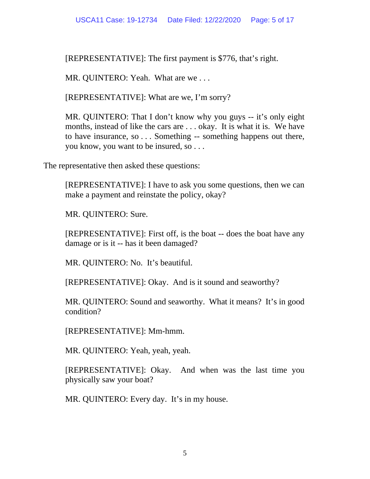[REPRESENTATIVE]: The first payment is \$776, that's right.

MR. QUINTERO: Yeah. What are we...

[REPRESENTATIVE]: What are we, I'm sorry?

MR. QUINTERO: That I don't know why you guys -- it's only eight months, instead of like the cars are . . . okay. It is what it is. We have to have insurance, so . . . Something -- something happens out there, you know, you want to be insured, so . . .

The representative then asked these questions:

[REPRESENTATIVE]: I have to ask you some questions, then we can make a payment and reinstate the policy, okay?

MR. QUINTERO: Sure.

[REPRESENTATIVE]: First off, is the boat -- does the boat have any damage or is it -- has it been damaged?

MR. QUINTERO: No. It's beautiful.

[REPRESENTATIVE]: Okay. And is it sound and seaworthy?

MR. QUINTERO: Sound and seaworthy. What it means? It's in good condition?

[REPRESENTATIVE]: Mm-hmm.

MR. QUINTERO: Yeah, yeah, yeah.

[REPRESENTATIVE]: Okay. And when was the last time you physically saw your boat?

MR. QUINTERO: Every day. It's in my house.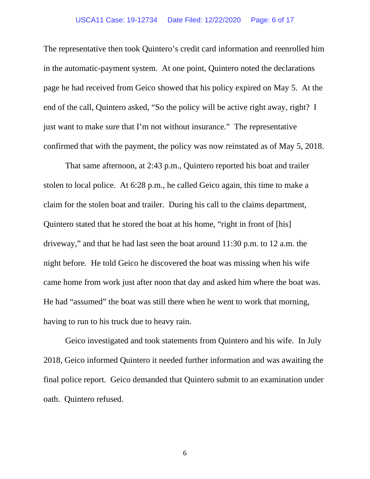### USCA11 Case: 19-12734 Date Filed: 12/22/2020 Page: 6 of 17

The representative then took Quintero's credit card information and reenrolled him in the automatic-payment system. At one point, Quintero noted the declarations page he had received from Geico showed that his policy expired on May 5. At the end of the call, Quintero asked, "So the policy will be active right away, right? I just want to make sure that I'm not without insurance." The representative confirmed that with the payment, the policy was now reinstated as of May 5, 2018.

That same afternoon, at 2:43 p.m., Quintero reported his boat and trailer stolen to local police. At 6:28 p.m., he called Geico again, this time to make a claim for the stolen boat and trailer. During his call to the claims department, Quintero stated that he stored the boat at his home, "right in front of [his] driveway," and that he had last seen the boat around 11:30 p.m. to 12 a.m. the night before. He told Geico he discovered the boat was missing when his wife came home from work just after noon that day and asked him where the boat was. He had "assumed" the boat was still there when he went to work that morning, having to run to his truck due to heavy rain.

Geico investigated and took statements from Quintero and his wife. In July 2018, Geico informed Quintero it needed further information and was awaiting the final police report. Geico demanded that Quintero submit to an examination under oath. Quintero refused.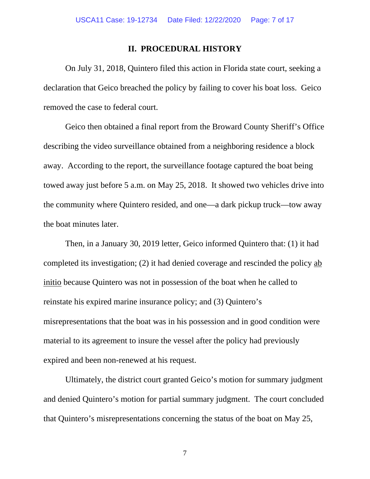### **II. PROCEDURAL HISTORY**

On July 31, 2018, Quintero filed this action in Florida state court, seeking a declaration that Geico breached the policy by failing to cover his boat loss. Geico removed the case to federal court.

Geico then obtained a final report from the Broward County Sheriff's Office describing the video surveillance obtained from a neighboring residence a block away. According to the report, the surveillance footage captured the boat being towed away just before 5 a.m. on May 25, 2018. It showed two vehicles drive into the community where Quintero resided, and one—a dark pickup truck—tow away the boat minutes later.

Then, in a January 30, 2019 letter, Geico informed Quintero that: (1) it had completed its investigation; (2) it had denied coverage and rescinded the policy ab initio because Quintero was not in possession of the boat when he called to reinstate his expired marine insurance policy; and (3) Quintero's misrepresentations that the boat was in his possession and in good condition were material to its agreement to insure the vessel after the policy had previously expired and been non-renewed at his request.

Ultimately, the district court granted Geico's motion for summary judgment and denied Quintero's motion for partial summary judgment. The court concluded that Quintero's misrepresentations concerning the status of the boat on May 25,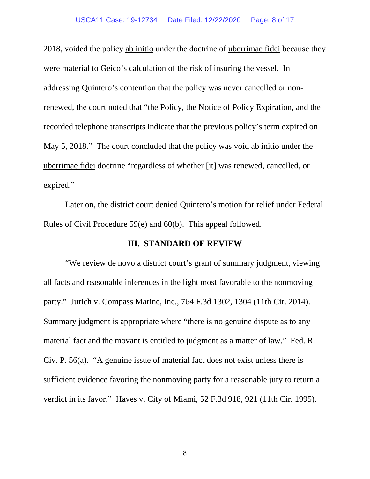### USCA11 Case: 19-12734 Date Filed: 12/22/2020 Page: 8 of 17

2018, voided the policy ab initio under the doctrine of uberrimae fidei because they were material to Geico's calculation of the risk of insuring the vessel. In addressing Quintero's contention that the policy was never cancelled or nonrenewed, the court noted that "the Policy, the Notice of Policy Expiration, and the recorded telephone transcripts indicate that the previous policy's term expired on May 5, 2018." The court concluded that the policy was void ab initio under the uberrimae fidei doctrine "regardless of whether [it] was renewed, cancelled, or expired."

Later on, the district court denied Quintero's motion for relief under Federal Rules of Civil Procedure 59(e) and 60(b). This appeal followed.

## **III. STANDARD OF REVIEW**

"We review de novo a district court's grant of summary judgment, viewing all facts and reasonable inferences in the light most favorable to the nonmoving party." Jurich v. Compass Marine, Inc., 764 F.3d 1302, 1304 (11th Cir. 2014). Summary judgment is appropriate where "there is no genuine dispute as to any material fact and the movant is entitled to judgment as a matter of law." Fed. R. Civ. P. 56(a). "A genuine issue of material fact does not exist unless there is sufficient evidence favoring the nonmoving party for a reasonable jury to return a verdict in its favor." Haves v. City of Miami, 52 F.3d 918, 921 (11th Cir. 1995).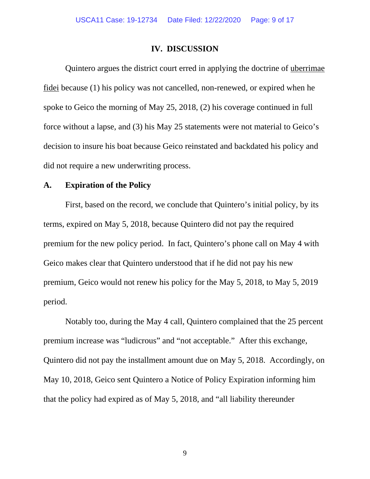### **IV. DISCUSSION**

Quintero argues the district court erred in applying the doctrine of uberrimae fidei because (1) his policy was not cancelled, non-renewed, or expired when he spoke to Geico the morning of May 25, 2018, (2) his coverage continued in full force without a lapse, and (3) his May 25 statements were not material to Geico's decision to insure his boat because Geico reinstated and backdated his policy and did not require a new underwriting process.

## **A. Expiration of the Policy**

First, based on the record, we conclude that Quintero's initial policy, by its terms, expired on May 5, 2018, because Quintero did not pay the required premium for the new policy period. In fact, Quintero's phone call on May 4 with Geico makes clear that Quintero understood that if he did not pay his new premium, Geico would not renew his policy for the May 5, 2018, to May 5, 2019 period.

Notably too, during the May 4 call, Quintero complained that the 25 percent premium increase was "ludicrous" and "not acceptable." After this exchange, Quintero did not pay the installment amount due on May 5, 2018. Accordingly, on May 10, 2018, Geico sent Quintero a Notice of Policy Expiration informing him that the policy had expired as of May 5, 2018, and "all liability thereunder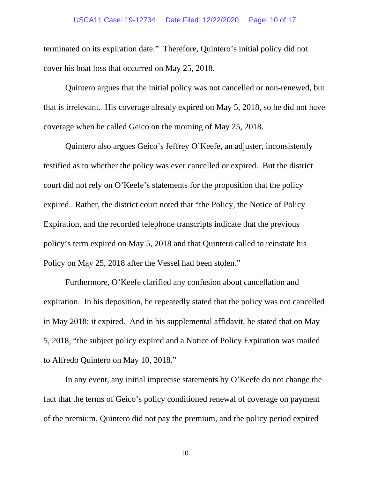### USCA11 Case: 19-12734 Date Filed: 12/22/2020 Page: 10 of 17

terminated on its expiration date." Therefore, Quintero's initial policy did not cover his boat loss that occurred on May 25, 2018.

Quintero argues that the initial policy was not cancelled or non-renewed, but that is irrelevant. His coverage already expired on May 5, 2018, so he did not have coverage when he called Geico on the morning of May 25, 2018.

Quintero also argues Geico's Jeffrey O'Keefe, an adjuster, inconsistently testified as to whether the policy was ever cancelled or expired. But the district court did not rely on O'Keefe's statements for the proposition that the policy expired. Rather, the district court noted that "the Policy, the Notice of Policy Expiration, and the recorded telephone transcripts indicate that the previous policy's term expired on May 5, 2018 and that Quintero called to reinstate his Policy on May 25, 2018 after the Vessel had been stolen."

Furthermore, O'Keefe clarified any confusion about cancellation and expiration. In his deposition, he repeatedly stated that the policy was not cancelled in May 2018; it expired. And in his supplemental affidavit, he stated that on May 5, 2018, "the subject policy expired and a Notice of Policy Expiration was mailed to Alfredo Quintero on May 10, 2018."

In any event, any initial imprecise statements by O'Keefe do not change the fact that the terms of Geico's policy conditioned renewal of coverage on payment of the premium, Quintero did not pay the premium, and the policy period expired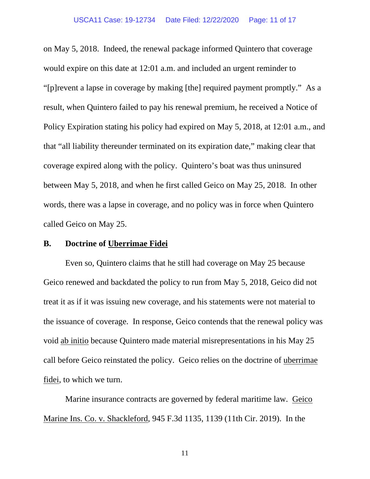on May 5, 2018. Indeed, the renewal package informed Quintero that coverage would expire on this date at 12:01 a.m. and included an urgent reminder to "[p]revent a lapse in coverage by making [the] required payment promptly." As a result, when Quintero failed to pay his renewal premium, he received a Notice of Policy Expiration stating his policy had expired on May 5, 2018, at 12:01 a.m., and that "all liability thereunder terminated on its expiration date," making clear that coverage expired along with the policy. Quintero's boat was thus uninsured between May 5, 2018, and when he first called Geico on May 25, 2018. In other words, there was a lapse in coverage, and no policy was in force when Quintero called Geico on May 25.

### **B. Doctrine of Uberrimae Fidei**

Even so, Quintero claims that he still had coverage on May 25 because Geico renewed and backdated the policy to run from May 5, 2018, Geico did not treat it as if it was issuing new coverage, and his statements were not material to the issuance of coverage. In response, Geico contends that the renewal policy was void ab initio because Quintero made material misrepresentations in his May 25 call before Geico reinstated the policy. Geico relies on the doctrine of uberrimae fidei, to which we turn.

Marine insurance contracts are governed by federal maritime law. Geico Marine Ins. Co. v. Shackleford, 945 F.3d 1135, 1139 (11th Cir. 2019). In the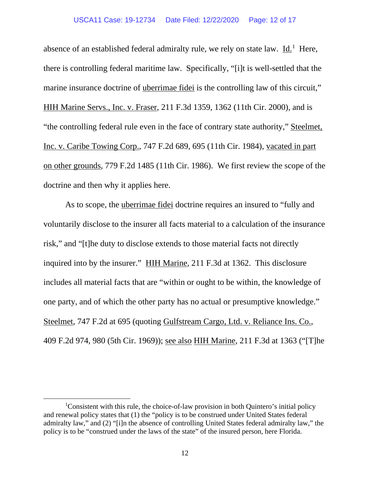absence of an established federal admiralty rule, we rely on state law. Id.<sup>[1](#page-11-0)</sup> Here, there is controlling federal maritime law. Specifically, "[i]t is well-settled that the marine insurance doctrine of uberrimae fidei is the controlling law of this circuit," HIH Marine Servs., Inc. v. Fraser, 211 F.3d 1359, 1362 (11th Cir. 2000), and is "the controlling federal rule even in the face of contrary state authority," Steelmet, Inc. v. Caribe Towing Corp., 747 F.2d 689, 695 (11th Cir. 1984), vacated in part on other grounds, 779 F.2d 1485 (11th Cir. 1986). We first review the scope of the doctrine and then why it applies here.

As to scope, the uberrimae fidei doctrine requires an insured to "fully and voluntarily disclose to the insurer all facts material to a calculation of the insurance risk," and "[t]he duty to disclose extends to those material facts not directly inquired into by the insurer." HIH Marine, 211 F.3d at 1362. This disclosure includes all material facts that are "within or ought to be within, the knowledge of one party, and of which the other party has no actual or presumptive knowledge." Steelmet, 747 F.2d at 695 (quoting Gulfstream Cargo, Ltd. v. Reliance Ins. Co., 409 F.2d 974, 980 (5th Cir. 1969)); see also HIH Marine, 211 F.3d at 1363 ("[T]he

<span id="page-11-0"></span><sup>&</sup>lt;sup>1</sup>Consistent with this rule, the choice-of-law provision in both Quintero's initial policy and renewal policy states that (1) the "policy is to be construed under United States federal admiralty law," and (2) "[i]n the absence of controlling United States federal admiralty law," the policy is to be "construed under the laws of the state" of the insured person, here Florida.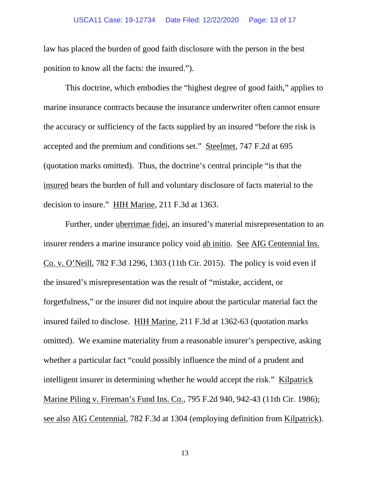### USCA11 Case: 19-12734 Date Filed: 12/22/2020 Page: 13 of 17

law has placed the burden of good faith disclosure with the person in the best position to know all the facts: the insured.").

This doctrine, which embodies the "highest degree of good faith," applies to marine insurance contracts because the insurance underwriter often cannot ensure the accuracy or sufficiency of the facts supplied by an insured "before the risk is accepted and the premium and conditions set." Steelmet, 747 F.2d at 695 (quotation marks omitted). Thus, the doctrine's central principle "is that the insured bears the burden of full and voluntary disclosure of facts material to the decision to insure." HIH Marine, 211 F.3d at 1363.

Further, under uberrimae fidei, an insured's material misrepresentation to an insurer renders a marine insurance policy void ab initio. See AIG Centennial Ins. Co. v. O'Neill, 782 F.3d 1296, 1303 (11th Cir. 2015). The policy is void even if the insured's misrepresentation was the result of "mistake, accident, or forgetfulness," or the insurer did not inquire about the particular material fact the insured failed to disclose. HIH Marine, 211 F.3d at 1362-63 (quotation marks omitted). We examine materiality from a reasonable insurer's perspective, asking whether a particular fact "could possibly influence the mind of a prudent and intelligent insurer in determining whether he would accept the risk." Kilpatrick Marine Piling v. Fireman's Fund Ins. Co., 795 F.2d 940, 942-43 (11th Cir. 1986); see also AIG Centennial, 782 F.3d at 1304 (employing definition from Kilpatrick).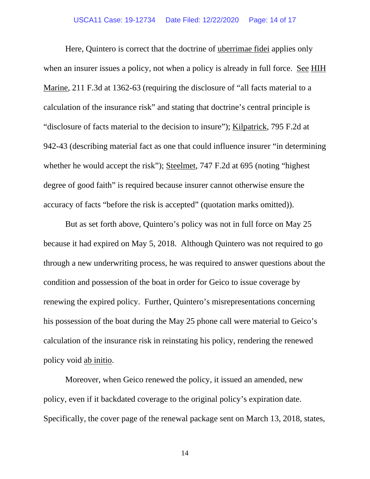### USCA11 Case: 19-12734 Date Filed: 12/22/2020 Page: 14 of 17

Here, Quintero is correct that the doctrine of uberrimae fidei applies only when an insurer issues a policy, not when a policy is already in full force. See HIH Marine, 211 F.3d at 1362-63 (requiring the disclosure of "all facts material to a calculation of the insurance risk" and stating that doctrine's central principle is "disclosure of facts material to the decision to insure"); Kilpatrick, 795 F.2d at 942-43 (describing material fact as one that could influence insurer "in determining whether he would accept the risk"); Steelmet, 747 F.2d at 695 (noting "highest degree of good faith" is required because insurer cannot otherwise ensure the accuracy of facts "before the risk is accepted" (quotation marks omitted)).

But as set forth above, Quintero's policy was not in full force on May 25 because it had expired on May 5, 2018. Although Quintero was not required to go through a new underwriting process, he was required to answer questions about the condition and possession of the boat in order for Geico to issue coverage by renewing the expired policy. Further, Quintero's misrepresentations concerning his possession of the boat during the May 25 phone call were material to Geico's calculation of the insurance risk in reinstating his policy, rendering the renewed policy void ab initio.

Moreover, when Geico renewed the policy, it issued an amended, new policy, even if it backdated coverage to the original policy's expiration date. Specifically, the cover page of the renewal package sent on March 13, 2018, states,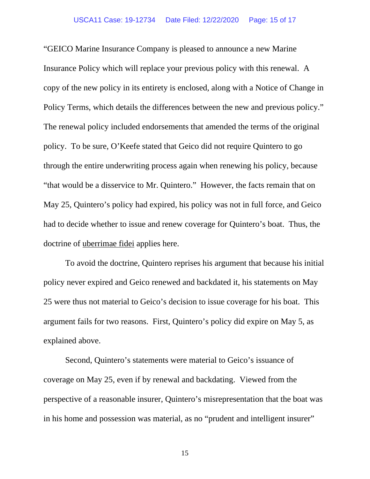"GEICO Marine Insurance Company is pleased to announce a new Marine Insurance Policy which will replace your previous policy with this renewal. A copy of the new policy in its entirety is enclosed, along with a Notice of Change in Policy Terms, which details the differences between the new and previous policy." The renewal policy included endorsements that amended the terms of the original policy. To be sure, O'Keefe stated that Geico did not require Quintero to go through the entire underwriting process again when renewing his policy, because "that would be a disservice to Mr. Quintero." However, the facts remain that on May 25, Quintero's policy had expired, his policy was not in full force, and Geico had to decide whether to issue and renew coverage for Quintero's boat. Thus, the doctrine of uberrimae fidei applies here.

To avoid the doctrine, Quintero reprises his argument that because his initial policy never expired and Geico renewed and backdated it, his statements on May 25 were thus not material to Geico's decision to issue coverage for his boat. This argument fails for two reasons. First, Quintero's policy did expire on May 5, as explained above.

Second, Quintero's statements were material to Geico's issuance of coverage on May 25, even if by renewal and backdating. Viewed from the perspective of a reasonable insurer, Quintero's misrepresentation that the boat was in his home and possession was material, as no "prudent and intelligent insurer"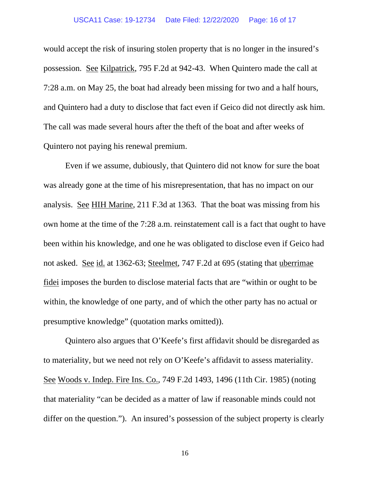### USCA11 Case: 19-12734 Date Filed: 12/22/2020 Page: 16 of 17

would accept the risk of insuring stolen property that is no longer in the insured's possession. See Kilpatrick, 795 F.2d at 942-43. When Quintero made the call at 7:28 a.m. on May 25, the boat had already been missing for two and a half hours, and Quintero had a duty to disclose that fact even if Geico did not directly ask him. The call was made several hours after the theft of the boat and after weeks of Quintero not paying his renewal premium.

Even if we assume, dubiously, that Quintero did not know for sure the boat was already gone at the time of his misrepresentation, that has no impact on our analysis. See HIH Marine, 211 F.3d at 1363. That the boat was missing from his own home at the time of the 7:28 a.m. reinstatement call is a fact that ought to have been within his knowledge, and one he was obligated to disclose even if Geico had not asked. See id. at 1362-63; Steelmet, 747 F.2d at 695 (stating that uberrimae fidei imposes the burden to disclose material facts that are "within or ought to be within, the knowledge of one party, and of which the other party has no actual or presumptive knowledge" (quotation marks omitted)).

Quintero also argues that O'Keefe's first affidavit should be disregarded as to materiality, but we need not rely on O'Keefe's affidavit to assess materiality. See Woods v. Indep. Fire Ins. Co., 749 F.2d 1493, 1496 (11th Cir. 1985) (noting that materiality "can be decided as a matter of law if reasonable minds could not differ on the question."). An insured's possession of the subject property is clearly